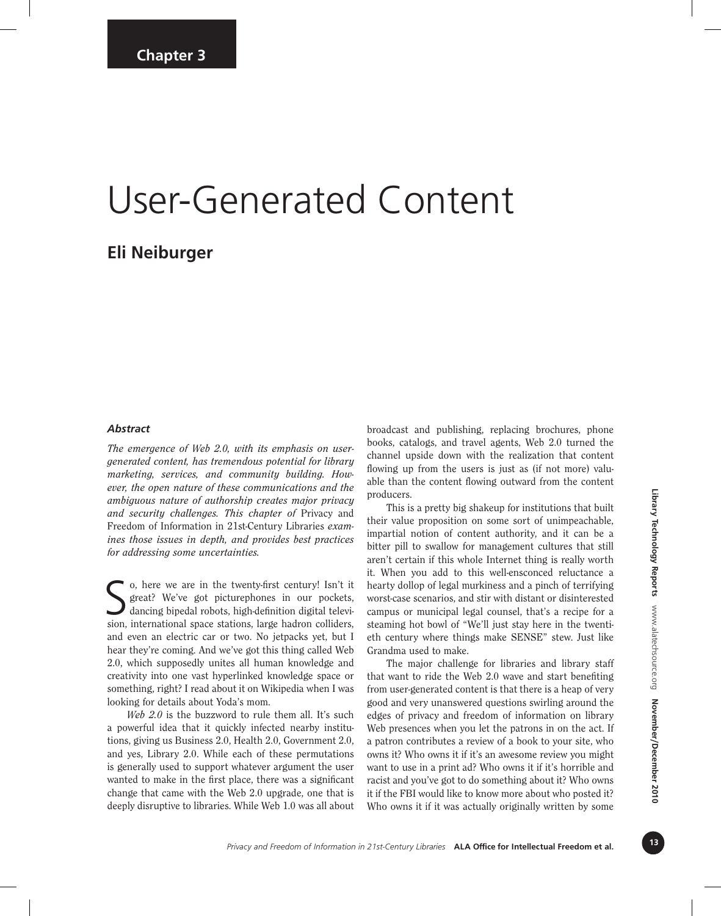# User-Generated Content

# **Eli Neiburger**

#### *Abstract*

*The emergence of Web 2.0, with its emphasis on usergenerated content, has tremendous potential for library marketing, services, and community building. However, the open nature of these communications and the ambiguous nature of authorship creates major privacy and security challenges. This chapter of* Privacy and Freedom of Information in 21st-Century Libraries *examines those issues in depth, and provides best practices for addressing some uncertainties.*

So, here we are in the twenty-first century! Isn't it great? We've got picture<br>phones in our pockets, dancing bipedal robots, high-definition digital television, international space stations, large hadron colliders, o, here we are in the twenty-first century! Isn't it great? We've got picturephones in our pockets, dancing bipedal robots, high-definition digital televiand even an electric car or two. No jetpacks yet, but I hear they're coming. And we've got this thing called Web 2.0, which supposedly unites all human knowledge and creativity into one vast hyperlinked knowledge space or something, right? I read about it on Wikipedia when I was looking for details about Yoda's mom.

*Web 2.0* is the buzzword to rule them all. It's such a powerful idea that it quickly infected nearby institutions, giving us Business 2.0, Health 2.0, Government 2.0, and yes, Library 2.0. While each of these permutations is generally used to support whatever argument the user wanted to make in the first place, there was a significant change that came with the Web 2.0 upgrade, one that is deeply disruptive to libraries. While Web 1.0 was all about broadcast and publishing, replacing brochures, phone books, catalogs, and travel agents, Web 2.0 turned the channel upside down with the realization that content flowing up from the users is just as (if not more) valuable than the content flowing outward from the content producers.

This is a pretty big shakeup for institutions that built their value proposition on some sort of unimpeachable, impartial notion of content authority, and it can be a bitter pill to swallow for management cultures that still aren't certain if this whole Internet thing is really worth it. When you add to this well-ensconced reluctance a hearty dollop of legal murkiness and a pinch of terrifying worst-case scenarios, and stir with distant or disinterested campus or municipal legal counsel, that's a recipe for a steaming hot bowl of "We'll just stay here in the twentieth century where things make SENSE" stew. Just like Grandma used to make.

The major challenge for libraries and library staff that want to ride the Web 2.0 wave and start benefiting from user-generated content is that there is a heap of very good and very unanswered questions swirling around the edges of privacy and freedom of information on library Web presences when you let the patrons in on the act. If a patron contributes a review of a book to your site, who owns it? Who owns it if it's an awesome review you might want to use in a print ad? Who owns it if it's horrible and racist and you've got to do something about it? Who owns it if the FBI would like to know more about who posted it? Who owns it if it was actually originally written by some

 $13<sup>°</sup>$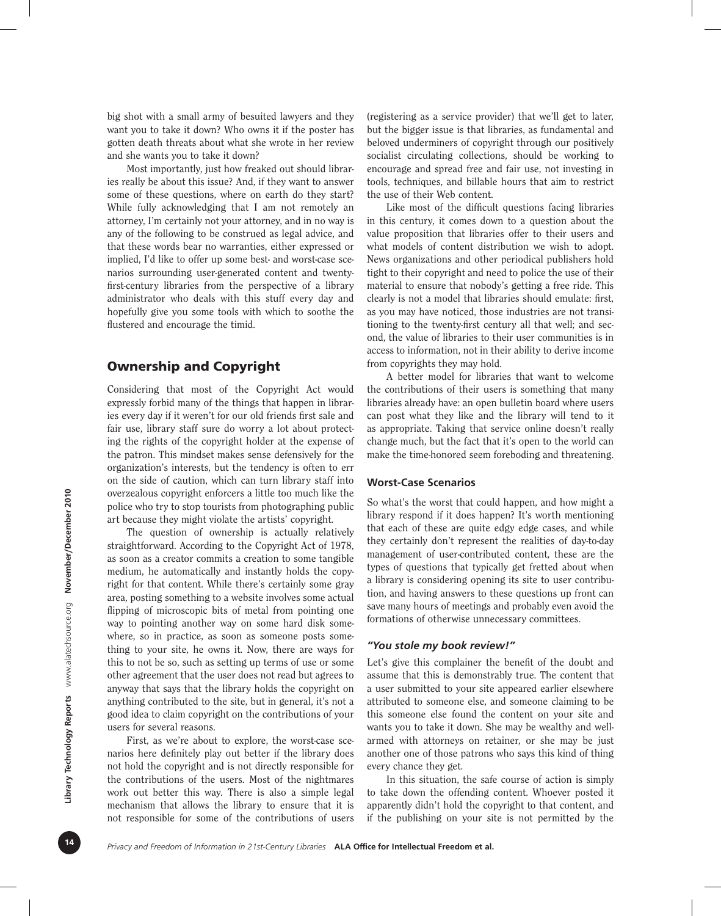big shot with a small army of besuited lawyers and they want you to take it down? Who owns it if the poster has gotten death threats about what she wrote in her review and she wants you to take it down?

Most importantly, just how freaked out should libraries really be about this issue? And, if they want to answer some of these questions, where on earth do they start? While fully acknowledging that I am not remotely an attorney, I'm certainly not your attorney, and in no way is any of the following to be construed as legal advice, and that these words bear no warranties, either expressed or implied, I'd like to offer up some best- and worst-case scenarios surrounding user-generated content and twentyfirst-century libraries from the perspective of a library administrator who deals with this stuff every day and hopefully give you some tools with which to soothe the flustered and encourage the timid.

# Ownership and Copyright

Considering that most of the Copyright Act would expressly forbid many of the things that happen in libraries every day if it weren't for our old friends first sale and fair use, library staff sure do worry a lot about protecting the rights of the copyright holder at the expense of the patron. This mindset makes sense defensively for the organization's interests, but the tendency is often to err on the side of caution, which can turn library staff into overzealous copyright enforcers a little too much like the police who try to stop tourists from photographing public art because they might violate the artists' copyright.

The question of ownership is actually relatively straightforward. According to the Copyright Act of 1978, as soon as a creator commits a creation to some tangible medium, he automatically and instantly holds the copyright for that content. While there's certainly some gray area, posting something to a website involves some actual flipping of microscopic bits of metal from pointing one way to pointing another way on some hard disk somewhere, so in practice, as soon as someone posts something to your site, he owns it. Now, there are ways for this to not be so, such as setting up terms of use or some other agreement that the user does not read but agrees to anyway that says that the library holds the copyright on anything contributed to the site, but in general, it's not a good idea to claim copyright on the contributions of your users for several reasons.

First, as we're about to explore, the worst-case scenarios here definitely play out better if the library does not hold the copyright and is not directly responsible for the contributions of the users. Most of the nightmares work out better this way. There is also a simple legal mechanism that allows the library to ensure that it is not responsible for some of the contributions of users (registering as a service provider) that we'll get to later, but the bigger issue is that libraries, as fundamental and beloved underminers of copyright through our positively socialist circulating collections, should be working to encourage and spread free and fair use, not investing in tools, techniques, and billable hours that aim to restrict the use of their Web content.

Like most of the difficult questions facing libraries in this century, it comes down to a question about the value proposition that libraries offer to their users and what models of content distribution we wish to adopt. News organizations and other periodical publishers hold tight to their copyright and need to police the use of their material to ensure that nobody's getting a free ride. This clearly is not a model that libraries should emulate: first, as you may have noticed, those industries are not transitioning to the twenty-first century all that well; and second, the value of libraries to their user communities is in access to information, not in their ability to derive income from copyrights they may hold.

A better model for libraries that want to welcome the contributions of their users is something that many libraries already have: an open bulletin board where users can post what they like and the library will tend to it as appropriate. Taking that service online doesn't really change much, but the fact that it's open to the world can make the time-honored seem foreboding and threatening.

#### **Worst-Case Scenarios**

So what's the worst that could happen, and how might a library respond if it does happen? It's worth mentioning that each of these are quite edgy edge cases, and while they certainly don't represent the realities of day-to-day management of user-contributed content, these are the types of questions that typically get fretted about when a library is considering opening its site to user contribution, and having answers to these questions up front can save many hours of meetings and probably even avoid the formations of otherwise unnecessary committees.

#### *"You stole my book review!"*

Let's give this complainer the benefit of the doubt and assume that this is demonstrably true. The content that a user submitted to your site appeared earlier elsewhere attributed to someone else, and someone claiming to be this someone else found the content on your site and wants you to take it down. She may be wealthy and wellarmed with attorneys on retainer, or she may be just another one of those patrons who says this kind of thing every chance they get.

In this situation, the safe course of action is simply to take down the offending content. Whoever posted it apparently didn't hold the copyright to that content, and if the publishing on your site is not permitted by the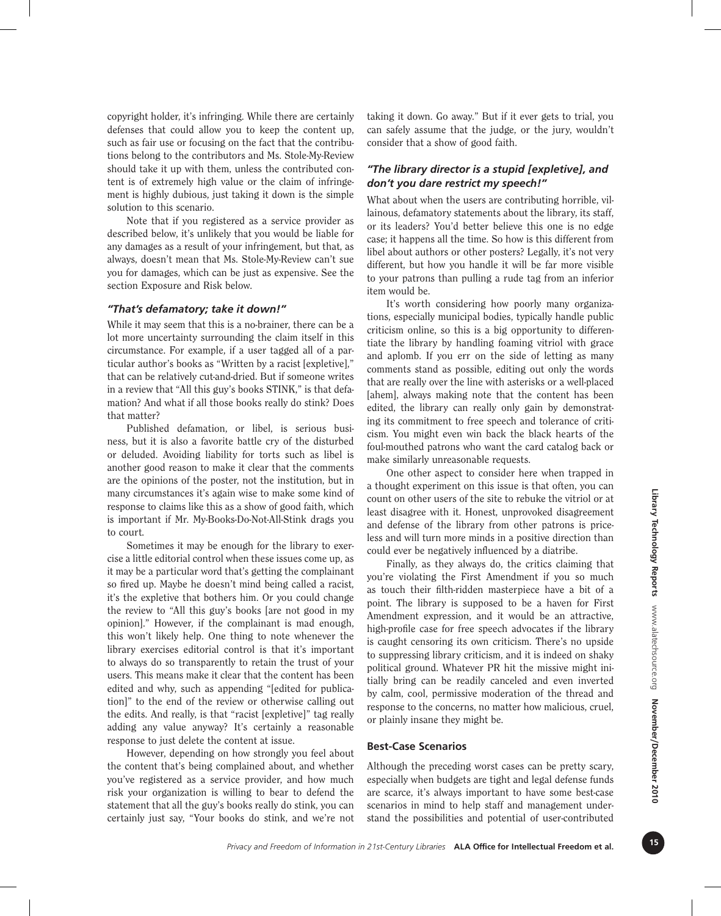copyright holder, it's infringing. While there are certainly defenses that could allow you to keep the content up, such as fair use or focusing on the fact that the contributions belong to the contributors and Ms. Stole-My-Review should take it up with them, unless the contributed content is of extremely high value or the claim of infringement is highly dubious, just taking it down is the simple solution to this scenario.

Note that if you registered as a service provider as described below, it's unlikely that you would be liable for any damages as a result of your infringement, but that, as always, doesn't mean that Ms. Stole-My-Review can't sue you for damages, which can be just as expensive. See the section Exposure and Risk below.

#### *"That's defamatory; take it down!"*

While it may seem that this is a no-brainer, there can be a lot more uncertainty surrounding the claim itself in this circumstance. For example, if a user tagged all of a particular author's books as "Written by a racist [expletive]," that can be relatively cut-and-dried. But if someone writes in a review that "All this guy's books STINK," is that defamation? And what if all those books really do stink? Does that matter?

Published defamation, or libel, is serious business, but it is also a favorite battle cry of the disturbed or deluded. Avoiding liability for torts such as libel is another good reason to make it clear that the comments are the opinions of the poster, not the institution, but in many circumstances it's again wise to make some kind of response to claims like this as a show of good faith, which is important if Mr. My-Books-Do-Not-All-Stink drags you to court.

Sometimes it may be enough for the library to exercise a little editorial control when these issues come up, as it may be a particular word that's getting the complainant so fired up. Maybe he doesn't mind being called a racist, it's the expletive that bothers him. Or you could change the review to "All this guy's books [are not good in my opinion]." However, if the complainant is mad enough, this won't likely help. One thing to note whenever the library exercises editorial control is that it's important to always do so transparently to retain the trust of your users. This means make it clear that the content has been edited and why, such as appending "[edited for publication]" to the end of the review or otherwise calling out the edits. And really, is that "racist [expletive]" tag really adding any value anyway? It's certainly a reasonable response to just delete the content at issue.

However, depending on how strongly you feel about the content that's being complained about, and whether you've registered as a service provider, and how much risk your organization is willing to bear to defend the statement that all the guy's books really do stink, you can certainly just say, "Your books do stink, and we're not taking it down. Go away." But if it ever gets to trial, you can safely assume that the judge, or the jury, wouldn't consider that a show of good faith.

### *"The library director is a stupid [expletive], and don't you dare restrict my speech!"*

What about when the users are contributing horrible, villainous, defamatory statements about the library, its staff, or its leaders? You'd better believe this one is no edge case; it happens all the time. So how is this different from libel about authors or other posters? Legally, it's not very different, but how you handle it will be far more visible to your patrons than pulling a rude tag from an inferior item would be.

It's worth considering how poorly many organizations, especially municipal bodies, typically handle public criticism online, so this is a big opportunity to differentiate the library by handling foaming vitriol with grace and aplomb. If you err on the side of letting as many comments stand as possible, editing out only the words that are really over the line with asterisks or a well-placed [ahem], always making note that the content has been edited, the library can really only gain by demonstrating its commitment to free speech and tolerance of criticism. You might even win back the black hearts of the foul-mouthed patrons who want the card catalog back or make similarly unreasonable requests.

One other aspect to consider here when trapped in a thought experiment on this issue is that often, you can count on other users of the site to rebuke the vitriol or at least disagree with it. Honest, unprovoked disagreement and defense of the library from other patrons is priceless and will turn more minds in a positive direction than could ever be negatively influenced by a diatribe.

Finally, as they always do, the critics claiming that you're violating the First Amendment if you so much as touch their filth-ridden masterpiece have a bit of a point. The library is supposed to be a haven for First Amendment expression, and it would be an attractive, high-profile case for free speech advocates if the library is caught censoring its own criticism. There's no upside to suppressing library criticism, and it is indeed on shaky political ground. Whatever PR hit the missive might initially bring can be readily canceled and even inverted by calm, cool, permissive moderation of the thread and response to the concerns, no matter how malicious, cruel, or plainly insane they might be.

#### **Best-Case Scenarios**

Although the preceding worst cases can be pretty scary, especially when budgets are tight and legal defense funds are scarce, it's always important to have some best-case scenarios in mind to help staff and management understand the possibilities and potential of user-contributed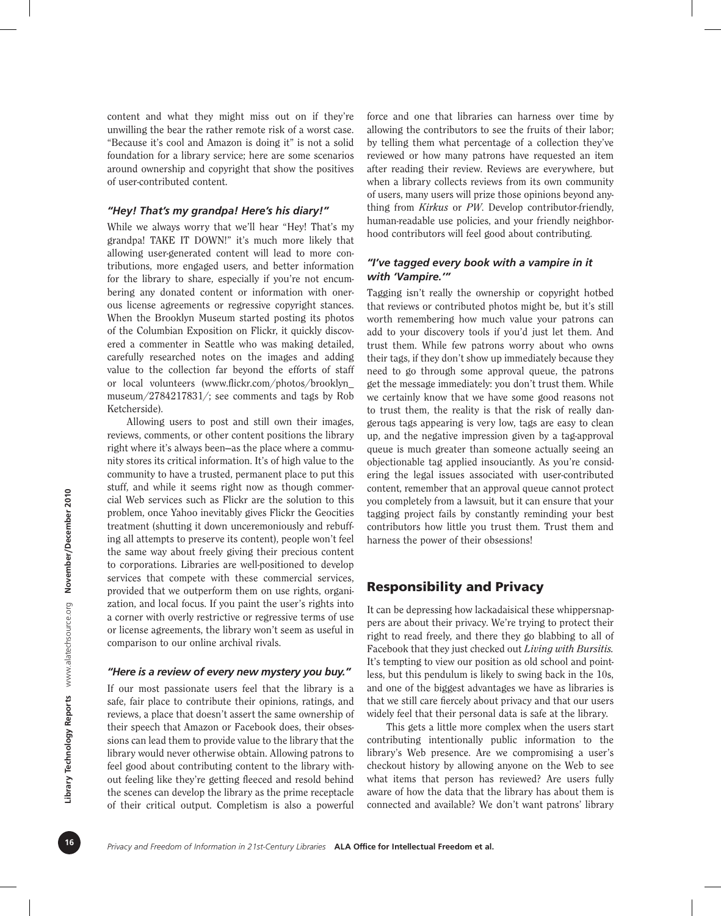content and what they might miss out on if they're unwilling the bear the rather remote risk of a worst case. "Because it's cool and Amazon is doing it" is not a solid foundation for a library service; here are some scenarios around ownership and copyright that show the positives of user-contributed content.

### *"Hey! That's my grandpa! Here's his diary!"*

While we always worry that we'll hear "Hey! That's my grandpa! TAKE IT DOWN!" it's much more likely that allowing user-generated content will lead to more contributions, more engaged users, and better information for the library to share, especially if you're not encumbering any donated content or information with onerous license agreements or regressive copyright stances. When the Brooklyn Museum started posting its photos of the Columbian Exposition on Flickr, it quickly discovered a commenter in Seattle who was making detailed, carefully researched notes on the images and adding value to the collection far beyond the efforts of staff or local volunteers (www.flickr.com/photos/brooklyn\_ museum/2784217831/; see comments and tags by Rob Ketcherside).

Allowing users to post and still own their images, reviews, comments, or other content positions the library right where it's always been—as the place where a community stores its critical information. It's of high value to the community to have a trusted, permanent place to put this stuff, and while it seems right now as though commercial Web services such as Flickr are the solution to this problem, once Yahoo inevitably gives Flickr the Geocities treatment (shutting it down unceremoniously and rebuffing all attempts to preserve its content), people won't feel the same way about freely giving their precious content to corporations. Libraries are well-positioned to develop services that compete with these commercial services, provided that we outperform them on use rights, organization, and local focus. If you paint the user's rights into a corner with overly restrictive or regressive terms of use or license agreements, the library won't seem as useful in comparison to our online archival rivals.

#### *"Here is a review of every new mystery you buy."*

If our most passionate users feel that the library is a safe, fair place to contribute their opinions, ratings, and reviews, a place that doesn't assert the same ownership of their speech that Amazon or Facebook does, their obsessions can lead them to provide value to the library that the library would never otherwise obtain. Allowing patrons to feel good about contributing content to the library without feeling like they're getting fleeced and resold behind the scenes can develop the library as the prime receptacle of their critical output. Completism is also a powerful force and one that libraries can harness over time by allowing the contributors to see the fruits of their labor; by telling them what percentage of a collection they've reviewed or how many patrons have requested an item after reading their review. Reviews are everywhere, but when a library collects reviews from its own community of users, many users will prize those opinions beyond anything from *Kirkus* or *PW*. Develop contributor-friendly, human-readable use policies, and your friendly neighborhood contributors will feel good about contributing.

# *"I've tagged every book with a vampire in it with 'Vampire.'"*

Tagging isn't really the ownership or copyright hotbed that reviews or contributed photos might be, but it's still worth remembering how much value your patrons can add to your discovery tools if you'd just let them. And trust them. While few patrons worry about who owns their tags, if they don't show up immediately because they need to go through some approval queue, the patrons get the message immediately: you don't trust them. While we certainly know that we have some good reasons not to trust them, the reality is that the risk of really dangerous tags appearing is very low, tags are easy to clean up, and the negative impression given by a tag-approval queue is much greater than someone actually seeing an objectionable tag applied insouciantly. As you're considering the legal issues associated with user-contributed content, remember that an approval queue cannot protect you completely from a lawsuit, but it can ensure that your tagging project fails by constantly reminding your best contributors how little you trust them. Trust them and harness the power of their obsessions!

# Responsibility and Privacy

It can be depressing how lackadaisical these whippersnappers are about their privacy. We're trying to protect their right to read freely, and there they go blabbing to all of Facebook that they just checked out *Living with Bursitis.* It's tempting to view our position as old school and pointless, but this pendulum is likely to swing back in the 10s, and one of the biggest advantages we have as libraries is that we still care fiercely about privacy and that our users widely feel that their personal data is safe at the library.

This gets a little more complex when the users start contributing intentionally public information to the library's Web presence. Are we compromising a user's checkout history by allowing anyone on the Web to see what items that person has reviewed? Are users fully aware of how the data that the library has about them is connected and available? We don't want patrons' library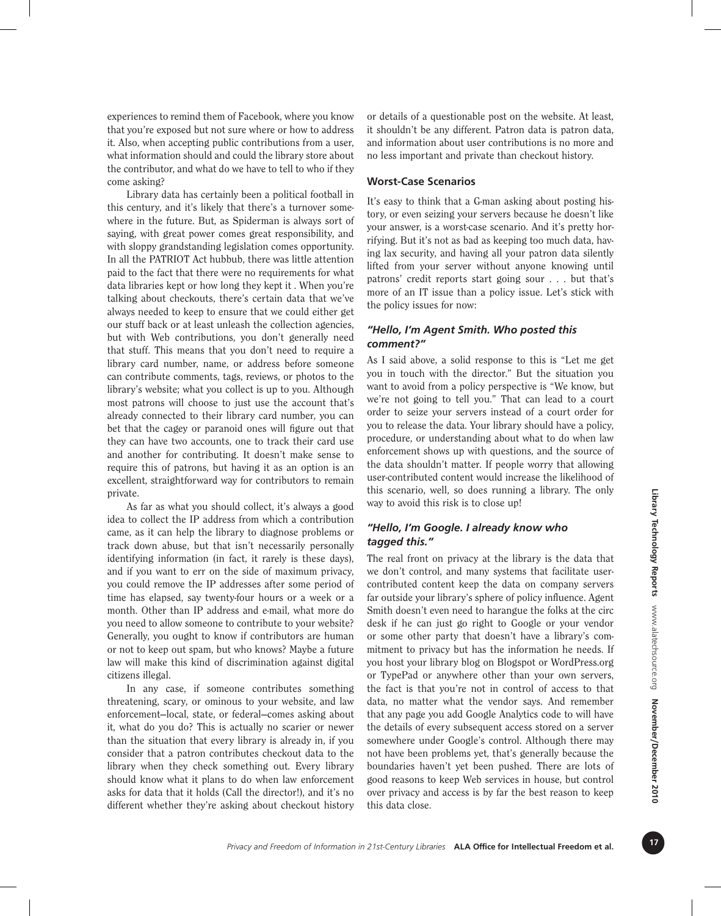experiences to remind them of Facebook, where you know that you're exposed but not sure where or how to address it. Also, when accepting public contributions from a user, what information should and could the library store about the contributor, and what do we have to tell to who if they come asking?

Library data has certainly been a political football in this century, and it's likely that there's a turnover somewhere in the future. But, as Spiderman is always sort of saying, with great power comes great responsibility, and with sloppy grandstanding legislation comes opportunity. In all the PATRIOT Act hubbub, there was little attention paid to the fact that there were no requirements for what data libraries kept or how long they kept it . When you're talking about checkouts, there's certain data that we've always needed to keep to ensure that we could either get our stuff back or at least unleash the collection agencies, but with Web contributions, you don't generally need that stuff. This means that you don't need to require a library card number, name, or address before someone can contribute comments, tags, reviews, or photos to the library's website; what you collect is up to you. Although most patrons will choose to just use the account that's already connected to their library card number, you can bet that the cagey or paranoid ones will figure out that they can have two accounts, one to track their card use and another for contributing. It doesn't make sense to require this of patrons, but having it as an option is an excellent, straightforward way for contributors to remain private.

As far as what you should collect, it's always a good idea to collect the IP address from which a contribution came, as it can help the library to diagnose problems or track down abuse, but that isn't necessarily personally identifying information (in fact, it rarely is these days), and if you want to err on the side of maximum privacy, you could remove the IP addresses after some period of time has elapsed, say twenty-four hours or a week or a month. Other than IP address and e-mail, what more do you need to allow someone to contribute to your website? Generally, you ought to know if contributors are human or not to keep out spam, but who knows? Maybe a future law will make this kind of discrimination against digital citizens illegal.

In any case, if someone contributes something threatening, scary, or ominous to your website, and law enforcement—local, state, or federal—comes asking about it, what do you do? This is actually no scarier or newer than the situation that every library is already in, if you consider that a patron contributes checkout data to the library when they check something out. Every library should know what it plans to do when law enforcement asks for data that it holds (Call the director!), and it's no different whether they're asking about checkout history or details of a questionable post on the website. At least, it shouldn't be any different. Patron data is patron data, and information about user contributions is no more and no less important and private than checkout history.

#### **Worst-Case Scenarios**

It's easy to think that a G-man asking about posting history, or even seizing your servers because he doesn't like your answer, is a worst-case scenario. And it's pretty horrifying. But it's not as bad as keeping too much data, having lax security, and having all your patron data silently lifted from your server without anyone knowing until patrons' credit reports start going sour . . . but that's more of an IT issue than a policy issue. Let's stick with the policy issues for now:

# *"Hello, I'm Agent Smith. Who posted this comment?"*

As I said above, a solid response to this is "Let me get you in touch with the director." But the situation you want to avoid from a policy perspective is "We know, but we're not going to tell you." That can lead to a court order to seize your servers instead of a court order for you to release the data. Your library should have a policy, procedure, or understanding about what to do when law enforcement shows up with questions, and the source of the data shouldn't matter. If people worry that allowing user-contributed content would increase the likelihood of this scenario, well, so does running a library. The only way to avoid this risk is to close up!

# *"Hello, I'm Google. I already know who tagged this."*

The real front on privacy at the library is the data that we don't control, and many systems that facilitate usercontributed content keep the data on company servers far outside your library's sphere of policy influence. Agent Smith doesn't even need to harangue the folks at the circ desk if he can just go right to Google or your vendor or some other party that doesn't have a library's commitment to privacy but has the information he needs. If you host your library blog on Blogspot or WordPress.org or TypePad or anywhere other than your own servers, the fact is that you're not in control of access to that data, no matter what the vendor says. And remember that any page you add Google Analytics code to will have the details of every subsequent access stored on a server somewhere under Google's control. Although there may not have been problems yet, that's generally because the boundaries haven't yet been pushed. There are lots of good reasons to keep Web services in house, but control over privacy and access is by far the best reason to keep this data close.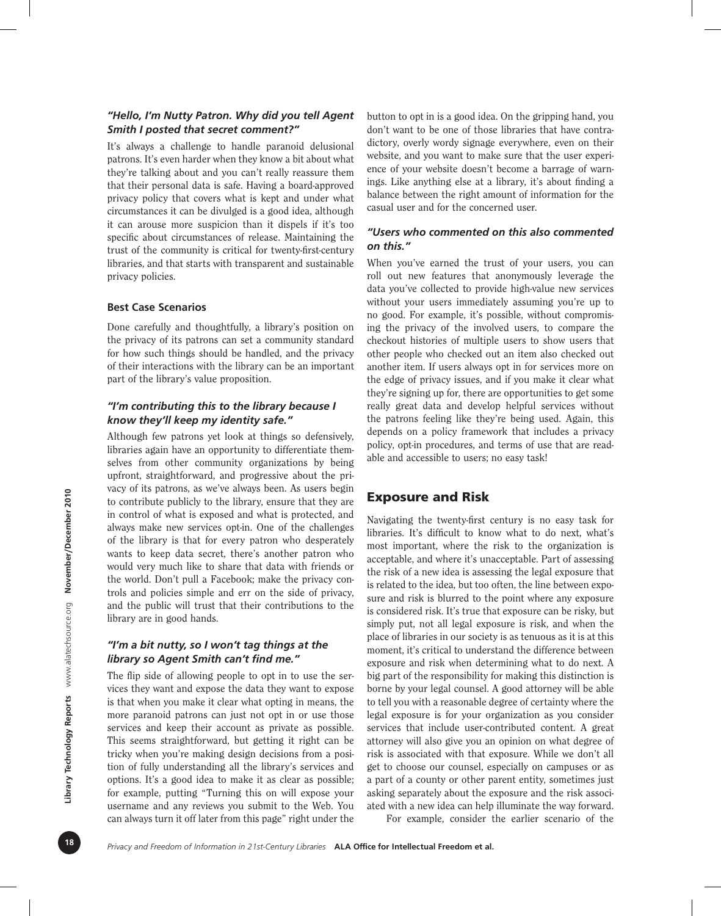#### *"Hello, I'm Nutty Patron. Why did you tell Agent Smith I posted that secret comment?"*

It's always a challenge to handle paranoid delusional patrons. It's even harder when they know a bit about what they're talking about and you can't really reassure them that their personal data is safe. Having a board-approved privacy policy that covers what is kept and under what circumstances it can be divulged is a good idea, although it can arouse more suspicion than it dispels if it's too specific about circumstances of release. Maintaining the trust of the community is critical for twenty-first-century libraries, and that starts with transparent and sustainable privacy policies.

#### **Best Case Scenarios**

Done carefully and thoughtfully, a library's position on the privacy of its patrons can set a community standard for how such things should be handled, and the privacy of their interactions with the library can be an important part of the library's value proposition.

#### *"I'm contributing this to the library because I know they'll keep my identity safe."*

Although few patrons yet look at things so defensively, libraries again have an opportunity to differentiate themselves from other community organizations by being upfront, straightforward, and progressive about the privacy of its patrons, as we've always been. As users begin to contribute publicly to the library, ensure that they are in control of what is exposed and what is protected, and always make new services opt-in. One of the challenges of the library is that for every patron who desperately wants to keep data secret, there's another patron who would very much like to share that data with friends or the world. Don't pull a Facebook; make the privacy controls and policies simple and err on the side of privacy, and the public will trust that their contributions to the library are in good hands.

## *"I'm a bit nutty, so I won't tag things at the library so Agent Smith can't find me."*

The flip side of allowing people to opt in to use the services they want and expose the data they want to expose is that when you make it clear what opting in means, the more paranoid patrons can just not opt in or use those services and keep their account as private as possible. This seems straightforward, but getting it right can be tricky when you're making design decisions from a position of fully understanding all the library's services and options. It's a good idea to make it as clear as possible; for example, putting "Turning this on will expose your username and any reviews you submit to the Web. You can always turn it off later from this page" right under the button to opt in is a good idea. On the gripping hand, you don't want to be one of those libraries that have contradictory, overly wordy signage everywhere, even on their website, and you want to make sure that the user experience of your website doesn't become a barrage of warnings. Like anything else at a library, it's about finding a balance between the right amount of information for the casual user and for the concerned user.

# *"Users who commented on this also commented on this."*

When you've earned the trust of your users, you can roll out new features that anonymously leverage the data you've collected to provide high-value new services without your users immediately assuming you're up to no good. For example, it's possible, without compromising the privacy of the involved users, to compare the checkout histories of multiple users to show users that other people who checked out an item also checked out another item. If users always opt in for services more on the edge of privacy issues, and if you make it clear what they're signing up for, there are opportunities to get some really great data and develop helpful services without the patrons feeling like they're being used. Again, this depends on a policy framework that includes a privacy policy, opt-in procedures, and terms of use that are readable and accessible to users; no easy task!

# Exposure and Risk

Navigating the twenty-first century is no easy task for libraries. It's difficult to know what to do next, what's most important, where the risk to the organization is acceptable, and where it's unacceptable. Part of assessing the risk of a new idea is assessing the legal exposure that is related to the idea, but too often, the line between exposure and risk is blurred to the point where any exposure is considered risk. It's true that exposure can be risky, but simply put, not all legal exposure is risk, and when the place of libraries in our society is as tenuous as it is at this moment, it's critical to understand the difference between exposure and risk when determining what to do next. A big part of the responsibility for making this distinction is borne by your legal counsel. A good attorney will be able to tell you with a reasonable degree of certainty where the legal exposure is for your organization as you consider services that include user-contributed content. A great attorney will also give you an opinion on what degree of risk is associated with that exposure. While we don't all get to choose our counsel, especially on campuses or as a part of a county or other parent entity, sometimes just asking separately about the exposure and the risk associated with a new idea can help illuminate the way forward.

For example, consider the earlier scenario of the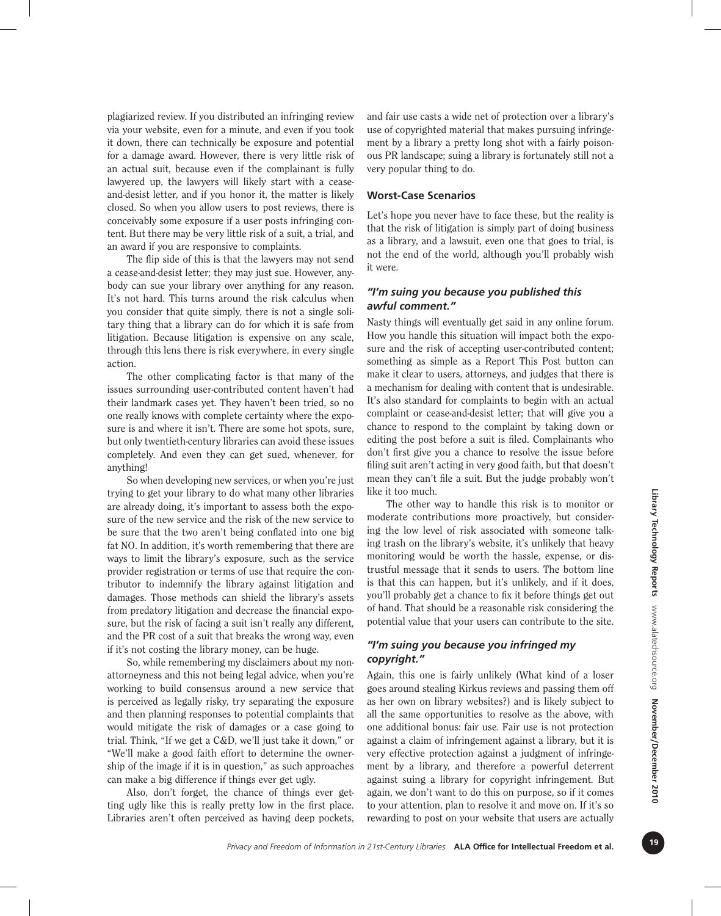plagiarized review. If you distributed an infringing review via your website, even for a minute, and even if you took it down, there can technically be exposure and potential for a damage award. However, there is very little risk of an actual suit, because even if the complainant is fully lawyered up, the lawyers will likely start with a ceaseand-desist letter, and if you honor it, the matter is likely closed. So when you allow users to post reviews, there is conceivably some exposure if a user posts infringing content. But there may be very little risk of a suit, a trial, and an award if you are responsive to complaints.

The flip side of this is that the lawyers may not send a cease-and-desist letter; they may just sue. However, anybody can sue your library over anything for any reason. It's not hard. This turns around the risk calculus when you consider that quite simply, there is not a single solitary thing that a library can do for which it is safe from litigation. Because litigation is expensive on any scale, through this lens there is risk everywhere, in every single action.

The other complicating factor is that many of the issues surrounding user-contributed content haven't had their landmark cases yet. They haven't been tried, so no one really knows with complete certainty where the exposure is and where it isn't. There are some hot spots, sure, but only twentieth-century libraries can avoid these issues completely. And even they can get sued, whenever, for anything!

So when developing new services, or when you're just trying to get your library to do what many other libraries are already doing, it's important to assess both the exposure of the new service and the risk of the new service to be sure that the two aren't being conflated into one big fat NO. In addition, it's worth remembering that there are ways to limit the library's exposure, such as the service provider registration or terms of use that require the contributor to indemnify the library against litigation and damages. Those methods can shield the library's assets from predatory litigation and decrease the financial exposure, but the risk of facing a suit isn't really any different, and the PR cost of a suit that breaks the wrong way, even if it's not costing the library money, can be huge.

So, while remembering my disclaimers about my nonattorneyness and this not being legal advice, when you're working to build consensus around a new service that is perceived as legally risky, try separating the exposure and then planning responses to potential complaints that would mitigate the risk of damages or a case going to trial. Think, "If we get a C&D, we'll just take it down," or "We'll make a good faith effort to determine the ownership of the image if it is in question," as such approaches can make a big difference if things ever get ugly.

Also, don't forget, the chance of things ever getting ugly like this is really pretty low in the first place. Libraries aren't often perceived as having deep pockets, and fair use casts a wide net of protection over a library's use of copyrighted material that makes pursuing infringement by a library a pretty long shot with a fairly poisonous PR landscape; suing a library is fortunately still not a very popular thing to do.

#### **Worst-Case Scenarios**

Let's hope you never have to face these, but the reality is that the risk of litigation is simply part of doing business as a library, and a lawsuit, even one that goes to trial, is not the end of the world, although you'll probably wish it were.

# *"I'm suing you because you published this awful comment."*

Nasty things will eventually get said in any online forum. How you handle this situation will impact both the exposure and the risk of accepting user-contributed content; something as simple as a Report This Post button can make it clear to users, attorneys, and judges that there is a mechanism for dealing with content that is undesirable. It's also standard for complaints to begin with an actual complaint or cease-and-desist letter; that will give you a chance to respond to the complaint by taking down or editing the post before a suit is filed. Complainants who don't first give you a chance to resolve the issue before filing suit aren't acting in very good faith, but that doesn't mean they can't file a suit. But the judge probably won't like it too much.

The other way to handle this risk is to monitor or moderate contributions more proactively, but considering the low level of risk associated with someone talking trash on the library's website, it's unlikely that heavy monitoring would be worth the hassle, expense, or distrustful message that it sends to users. The bottom line is that this can happen, but it's unlikely, and if it does, you'll probably get a chance to fix it before things get out of hand. That should be a reasonable risk considering the potential value that your users can contribute to the site.

# *"I'm suing you because you infringed my copyright."*

Again, this one is fairly unlikely (What kind of a loser goes around stealing Kirkus reviews and passing them off as her own on library websites?) and is likely subject to all the same opportunities to resolve as the above, with one additional bonus: fair use. Fair use is not protection against a claim of infringement against a library, but it is very effective protection against a judgment of infringement by a library, and therefore a powerful deterrent against suing a library for copyright infringement. But again, we don't want to do this on purpose, so if it comes to your attention, plan to resolve it and move on. If it's so rewarding to post on your website that users are actually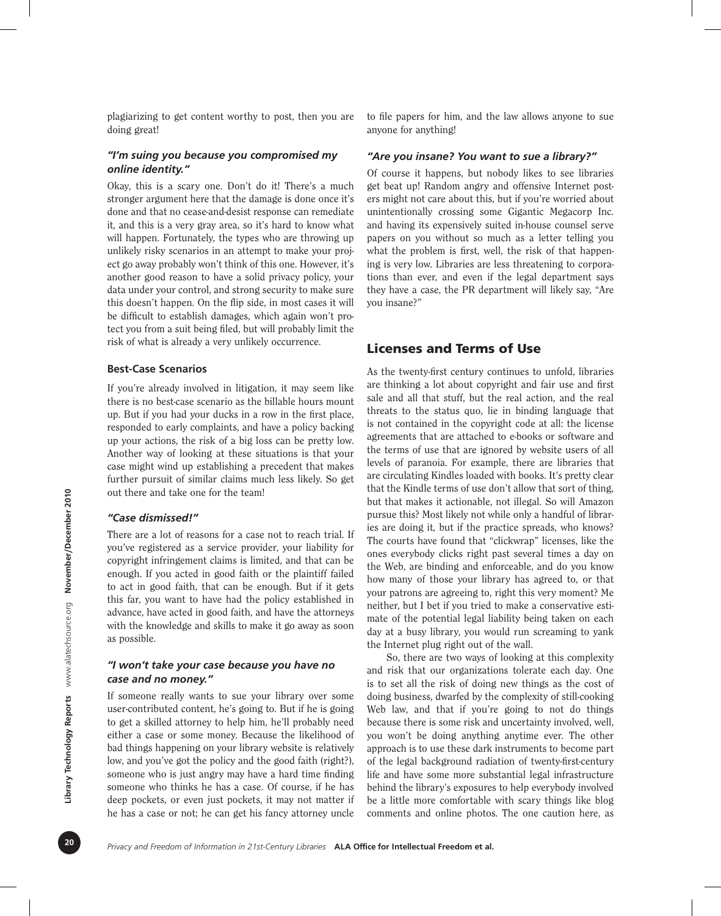plagiarizing to get content worthy to post, then you are doing great!

#### *"I'm suing you because you compromised my online identity."*

Okay, this is a scary one. Don't do it! There's a much stronger argument here that the damage is done once it's done and that no cease-and-desist response can remediate it, and this is a very gray area, so it's hard to know what will happen. Fortunately, the types who are throwing up unlikely risky scenarios in an attempt to make your project go away probably won't think of this one. However, it's another good reason to have a solid privacy policy, your data under your control, and strong security to make sure this doesn't happen. On the flip side, in most cases it will be difficult to establish damages, which again won't protect you from a suit being filed, but will probably limit the risk of what is already a very unlikely occurrence.

#### **Best-Case Scenarios**

If you're already involved in litigation, it may seem like there is no best-case scenario as the billable hours mount up. But if you had your ducks in a row in the first place, responded to early complaints, and have a policy backing up your actions, the risk of a big loss can be pretty low. Another way of looking at these situations is that your case might wind up establishing a precedent that makes further pursuit of similar claims much less likely. So get out there and take one for the team!

#### *"Case dismissed!"*

There are a lot of reasons for a case not to reach trial. If you've registered as a service provider, your liability for copyright infringement claims is limited, and that can be enough. If you acted in good faith or the plaintiff failed to act in good faith, that can be enough. But if it gets this far, you want to have had the policy established in advance, have acted in good faith, and have the attorneys with the knowledge and skills to make it go away as soon as possible.

#### *"I won't take your case because you have no case and no money."*

If someone really wants to sue your library over some user-contributed content, he's going to. But if he is going to get a skilled attorney to help him, he'll probably need either a case or some money. Because the likelihood of bad things happening on your library website is relatively low, and you've got the policy and the good faith (right?), someone who is just angry may have a hard time finding someone who thinks he has a case. Of course, if he has deep pockets, or even just pockets, it may not matter if he has a case or not; he can get his fancy attorney uncle to file papers for him, and the law allows anyone to sue anyone for anything!

#### *"Are you insane? You want to sue a library?"*

Of course it happens, but nobody likes to see libraries get beat up! Random angry and offensive Internet posters might not care about this, but if you're worried about unintentionally crossing some Gigantic Megacorp Inc. and having its expensively suited in-house counsel serve papers on you without so much as a letter telling you what the problem is first, well, the risk of that happening is very low. Libraries are less threatening to corporations than ever, and even if the legal department says they have a case, the PR department will likely say, "Are you insane?"

#### Licenses and Terms of Use

As the twenty-first century continues to unfold, libraries are thinking a lot about copyright and fair use and first sale and all that stuff, but the real action, and the real threats to the status quo, lie in binding language that is not contained in the copyright code at all: the license agreements that are attached to e-books or software and the terms of use that are ignored by website users of all levels of paranoia. For example, there are libraries that are circulating Kindles loaded with books. It's pretty clear that the Kindle terms of use don't allow that sort of thing, but that makes it actionable, not illegal. So will Amazon pursue this? Most likely not while only a handful of libraries are doing it, but if the practice spreads, who knows? The courts have found that "clickwrap" licenses, like the ones everybody clicks right past several times a day on the Web, are binding and enforceable, and do you know how many of those your library has agreed to, or that your patrons are agreeing to, right this very moment? Me neither, but I bet if you tried to make a conservative estimate of the potential legal liability being taken on each day at a busy library, you would run screaming to yank the Internet plug right out of the wall.

So, there are two ways of looking at this complexity and risk that our organizations tolerate each day. One is to set all the risk of doing new things as the cost of doing business, dwarfed by the complexity of still-cooking Web law, and that if you're going to not do things because there is some risk and uncertainty involved, well, you won't be doing anything anytime ever. The other approach is to use these dark instruments to become part of the legal background radiation of twenty-first-century life and have some more substantial legal infrastructure behind the library's exposures to help everybody involved be a little more comfortable with scary things like blog comments and online photos. The one caution here, as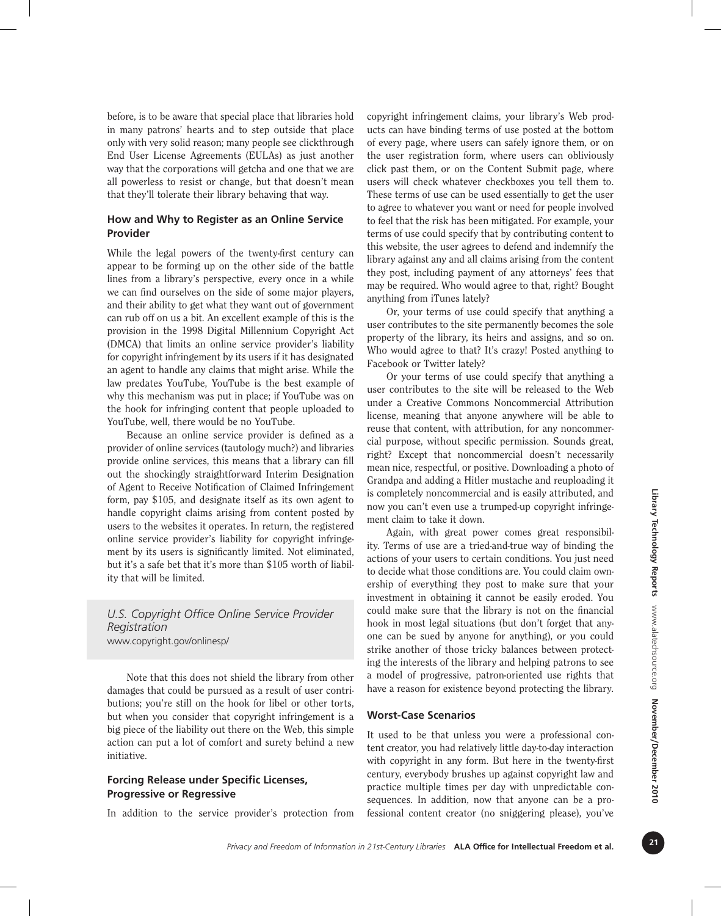before, is to be aware that special place that libraries hold in many patrons' hearts and to step outside that place only with very solid reason; many people see clickthrough End User License Agreements (EULAs) as just another way that the corporations will getcha and one that we are all powerless to resist or change, but that doesn't mean that they'll tolerate their library behaving that way.

#### **How and Why to Register as an Online Service Provider**

While the legal powers of the twenty-first century can appear to be forming up on the other side of the battle lines from a library's perspective, every once in a while we can find ourselves on the side of some major players, and their ability to get what they want out of government can rub off on us a bit. An excellent example of this is the provision in the 1998 Digital Millennium Copyright Act (DMCA) that limits an online service provider's liability for copyright infringement by its users if it has designated an agent to handle any claims that might arise. While the law predates YouTube, YouTube is the best example of why this mechanism was put in place; if YouTube was on the hook for infringing content that people uploaded to YouTube, well, there would be no YouTube.

Because an online service provider is defined as a provider of online services (tautology much?) and libraries provide online services, this means that a library can fill out the shockingly straightforward Interim Designation of Agent to Receive Notification of Claimed Infringement form, pay \$105, and designate itself as its own agent to handle copyright claims arising from content posted by users to the websites it operates. In return, the registered online service provider's liability for copyright infringement by its users is significantly limited. Not eliminated, but it's a safe bet that it's more than \$105 worth of liability that will be limited.

*U.S. Copyright Office Online Service Provider Registration* www.copyright.gov/onlinesp/

Note that this does not shield the library from other damages that could be pursued as a result of user contributions; you're still on the hook for libel or other torts, but when you consider that copyright infringement is a big piece of the liability out there on the Web, this simple action can put a lot of comfort and surety behind a new initiative.

# **Forcing Release under Specific Licenses, Progressive or Regressive**

In addition to the service provider's protection from

copyright infringement claims, your library's Web products can have binding terms of use posted at the bottom of every page, where users can safely ignore them, or on the user registration form, where users can obliviously click past them, or on the Content Submit page, where users will check whatever checkboxes you tell them to. These terms of use can be used essentially to get the user to agree to whatever you want or need for people involved to feel that the risk has been mitigated. For example, your terms of use could specify that by contributing content to this website, the user agrees to defend and indemnify the library against any and all claims arising from the content they post, including payment of any attorneys' fees that may be required. Who would agree to that, right? Bought anything from iTunes lately?

Or, your terms of use could specify that anything a user contributes to the site permanently becomes the sole property of the library, its heirs and assigns, and so on. Who would agree to that? It's crazy! Posted anything to Facebook or Twitter lately?

Or your terms of use could specify that anything a user contributes to the site will be released to the Web under a Creative Commons Noncommercial Attribution license, meaning that anyone anywhere will be able to reuse that content, with attribution, for any noncommercial purpose, without specific permission. Sounds great, right? Except that noncommercial doesn't necessarily mean nice, respectful, or positive. Downloading a photo of Grandpa and adding a Hitler mustache and reuploading it is completely noncommercial and is easily attributed, and now you can't even use a trumped-up copyright infringement claim to take it down.

Again, with great power comes great responsibility. Terms of use are a tried-and-true way of binding the actions of your users to certain conditions. You just need to decide what those conditions are. You could claim ownership of everything they post to make sure that your investment in obtaining it cannot be easily eroded. You could make sure that the library is not on the financial hook in most legal situations (but don't forget that anyone can be sued by anyone for anything), or you could strike another of those tricky balances between protecting the interests of the library and helping patrons to see a model of progressive, patron-oriented use rights that have a reason for existence beyond protecting the library.

#### **Worst-Case Scenarios**

It used to be that unless you were a professional content creator, you had relatively little day-to-day interaction with copyright in any form. But here in the twenty-first century, everybody brushes up against copyright law and practice multiple times per day with unpredictable consequences. In addition, now that anyone can be a professional content creator (no sniggering please), you've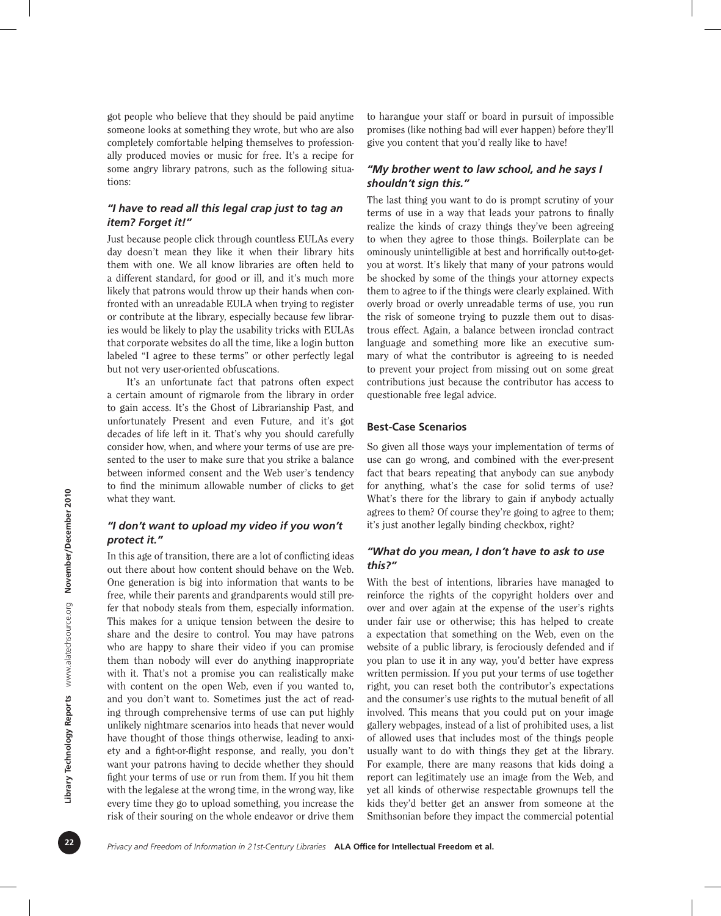got people who believe that they should be paid anytime someone looks at something they wrote, but who are also completely comfortable helping themselves to professionally produced movies or music for free. It's a recipe for some angry library patrons, such as the following situations:

# *"I have to read all this legal crap just to tag an item? Forget it!"*

Just because people click through countless EULAs every day doesn't mean they like it when their library hits them with one. We all know libraries are often held to a different standard, for good or ill, and it's much more likely that patrons would throw up their hands when confronted with an unreadable EULA when trying to register or contribute at the library, especially because few libraries would be likely to play the usability tricks with EULAs that corporate websites do all the time, like a login button labeled "I agree to these terms" or other perfectly legal but not very user-oriented obfuscations.

It's an unfortunate fact that patrons often expect a certain amount of rigmarole from the library in order to gain access. It's the Ghost of Librarianship Past, and unfortunately Present and even Future, and it's got decades of life left in it. That's why you should carefully consider how, when, and where your terms of use are presented to the user to make sure that you strike a balance between informed consent and the Web user's tendency to find the minimum allowable number of clicks to get what they want.

# *"I don't want to upload my video if you won't protect it."*

In this age of transition, there are a lot of conflicting ideas out there about how content should behave on the Web. One generation is big into information that wants to be free, while their parents and grandparents would still prefer that nobody steals from them, especially information. This makes for a unique tension between the desire to share and the desire to control. You may have patrons who are happy to share their video if you can promise them than nobody will ever do anything inappropriate with it. That's not a promise you can realistically make with content on the open Web, even if you wanted to, and you don't want to. Sometimes just the act of reading through comprehensive terms of use can put highly unlikely nightmare scenarios into heads that never would have thought of those things otherwise, leading to anxiety and a fight-or-flight response, and really, you don't want your patrons having to decide whether they should fight your terms of use or run from them. If you hit them with the legalese at the wrong time, in the wrong way, like every time they go to upload something, you increase the risk of their souring on the whole endeavor or drive them to harangue your staff or board in pursuit of impossible promises (like nothing bad will ever happen) before they'll give you content that you'd really like to have!

#### *"My brother went to law school, and he says I shouldn't sign this."*

The last thing you want to do is prompt scrutiny of your terms of use in a way that leads your patrons to finally realize the kinds of crazy things they've been agreeing to when they agree to those things. Boilerplate can be ominously unintelligible at best and horrifically out-to-getyou at worst. It's likely that many of your patrons would be shocked by some of the things your attorney expects them to agree to if the things were clearly explained. With overly broad or overly unreadable terms of use, you run the risk of someone trying to puzzle them out to disastrous effect. Again, a balance between ironclad contract language and something more like an executive summary of what the contributor is agreeing to is needed to prevent your project from missing out on some great contributions just because the contributor has access to questionable free legal advice.

#### **Best-Case Scenarios**

So given all those ways your implementation of terms of use can go wrong, and combined with the ever-present fact that bears repeating that anybody can sue anybody for anything, what's the case for solid terms of use? What's there for the library to gain if anybody actually agrees to them? Of course they're going to agree to them; it's just another legally binding checkbox, right?

#### *"What do you mean, I don't have to ask to use this?"*

With the best of intentions, libraries have managed to reinforce the rights of the copyright holders over and over and over again at the expense of the user's rights under fair use or otherwise; this has helped to create a expectation that something on the Web, even on the website of a public library, is ferociously defended and if you plan to use it in any way, you'd better have express written permission. If you put your terms of use together right, you can reset both the contributor's expectations and the consumer's use rights to the mutual benefit of all involved. This means that you could put on your image gallery webpages, instead of a list of prohibited uses, a list of allowed uses that includes most of the things people usually want to do with things they get at the library. For example, there are many reasons that kids doing a report can legitimately use an image from the Web, and yet all kinds of otherwise respectable grownups tell the kids they'd better get an answer from someone at the Smithsonian before they impact the commercial potential

 $22$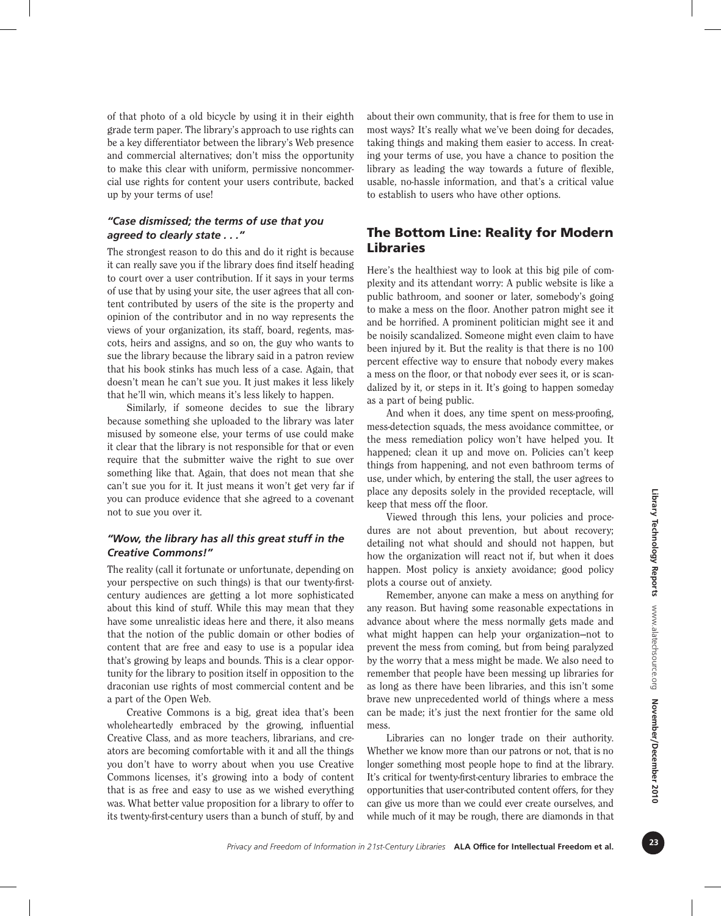of that photo of a old bicycle by using it in their eighth grade term paper. The library's approach to use rights can be a key differentiator between the library's Web presence and commercial alternatives; don't miss the opportunity to make this clear with uniform, permissive noncommercial use rights for content your users contribute, backed up by your terms of use!

# *"Case dismissed; the terms of use that you agreed to clearly state . . ."*

The strongest reason to do this and do it right is because it can really save you if the library does find itself heading to court over a user contribution. If it says in your terms of use that by using your site, the user agrees that all content contributed by users of the site is the property and opinion of the contributor and in no way represents the views of your organization, its staff, board, regents, mascots, heirs and assigns, and so on, the guy who wants to sue the library because the library said in a patron review that his book stinks has much less of a case. Again, that doesn't mean he can't sue you. It just makes it less likely that he'll win, which means it's less likely to happen.

Similarly, if someone decides to sue the library because something she uploaded to the library was later misused by someone else, your terms of use could make it clear that the library is not responsible for that or even require that the submitter waive the right to sue over something like that. Again, that does not mean that she can't sue you for it. It just means it won't get very far if you can produce evidence that she agreed to a covenant not to sue you over it.

# *"Wow, the library has all this great stuff in the Creative Commons!"*

The reality (call it fortunate or unfortunate, depending on your perspective on such things) is that our twenty-firstcentury audiences are getting a lot more sophisticated about this kind of stuff. While this may mean that they have some unrealistic ideas here and there, it also means that the notion of the public domain or other bodies of content that are free and easy to use is a popular idea that's growing by leaps and bounds. This is a clear opportunity for the library to position itself in opposition to the draconian use rights of most commercial content and be a part of the Open Web.

Creative Commons is a big, great idea that's been wholeheartedly embraced by the growing, influential Creative Class, and as more teachers, librarians, and creators are becoming comfortable with it and all the things you don't have to worry about when you use Creative Commons licenses, it's growing into a body of content that is as free and easy to use as we wished everything was. What better value proposition for a library to offer to its twenty-first-century users than a bunch of stuff, by and about their own community, that is free for them to use in most ways? It's really what we've been doing for decades, taking things and making them easier to access. In creating your terms of use, you have a chance to position the library as leading the way towards a future of flexible, usable, no-hassle information, and that's a critical value to establish to users who have other options.

# The Bottom Line: Reality for Modern Libraries

Here's the healthiest way to look at this big pile of complexity and its attendant worry: A public website is like a public bathroom, and sooner or later, somebody's going to make a mess on the floor. Another patron might see it and be horrified. A prominent politician might see it and be noisily scandalized. Someone might even claim to have been injured by it. But the reality is that there is no 100 percent effective way to ensure that nobody every makes a mess on the floor, or that nobody ever sees it, or is scandalized by it, or steps in it. It's going to happen someday as a part of being public.

And when it does, any time spent on mess-proofing, mess-detection squads, the mess avoidance committee, or the mess remediation policy won't have helped you. It happened; clean it up and move on. Policies can't keep things from happening, and not even bathroom terms of use, under which, by entering the stall, the user agrees to place any deposits solely in the provided receptacle, will keep that mess off the floor.

Viewed through this lens, your policies and procedures are not about prevention, but about recovery; detailing not what should and should not happen, but how the organization will react not if, but when it does happen. Most policy is anxiety avoidance; good policy plots a course out of anxiety.

Remember, anyone can make a mess on anything for any reason. But having some reasonable expectations in advance about where the mess normally gets made and what might happen can help your organization—not to prevent the mess from coming, but from being paralyzed by the worry that a mess might be made. We also need to remember that people have been messing up libraries for as long as there have been libraries, and this isn't some brave new unprecedented world of things where a mess can be made; it's just the next frontier for the same old mess.

Libraries can no longer trade on their authority. Whether we know more than our patrons or not, that is no longer something most people hope to find at the library. It's critical for twenty-first-century libraries to embrace the opportunities that user-contributed content offers, for they can give us more than we could ever create ourselves, and while much of it may be rough, there are diamonds in that